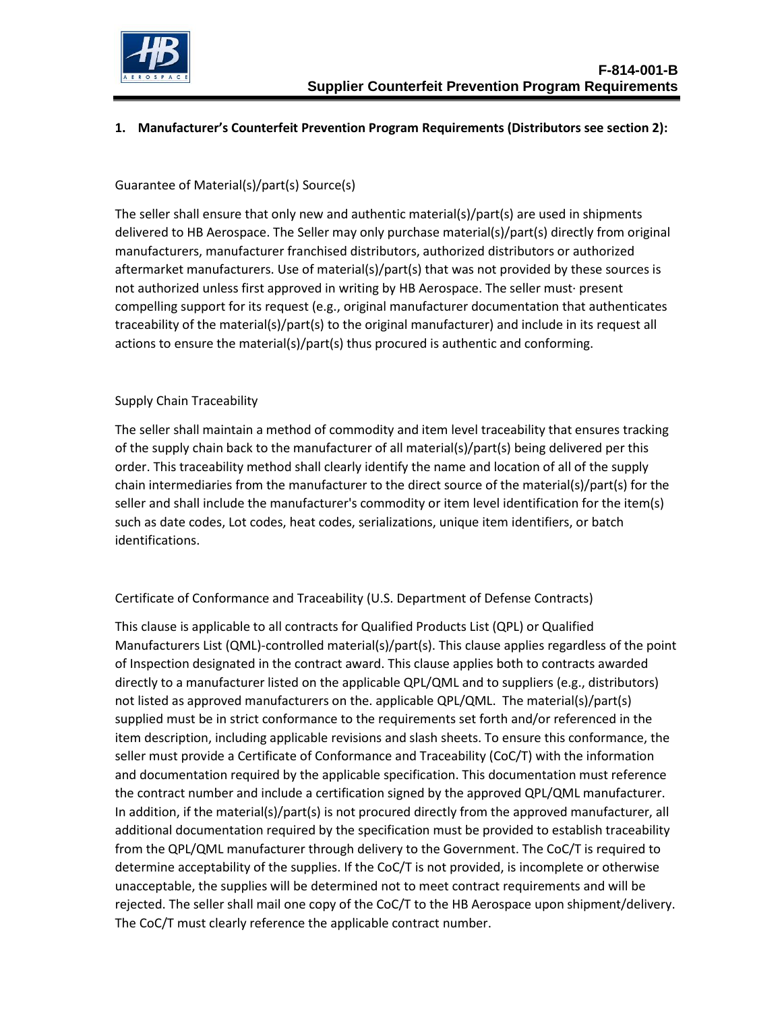

# **1. Manufacturer's Counterfeit Prevention Program Requirements (Distributors see section 2):**

## Guarantee of Material(s)/part(s) Source(s)

The seller shall ensure that only new and authentic material(s)/part(s) are used in shipments delivered to HB Aerospace. The Seller may only purchase material(s)/part(s) directly from original manufacturers, manufacturer franchised distributors, authorized distributors or authorized aftermarket manufacturers. Use of material(s)/part(s) that was not provided by these sources is not authorized unless first approved in writing by HB Aerospace. The seller must· present compelling support for its request (e.g., original manufacturer documentation that authenticates traceability of the material(s)/part(s) to the original manufacturer) and include in its request all actions to ensure the material(s)/part(s) thus procured is authentic and conforming.

### Supply Chain Traceability

The seller shall maintain a method of commodity and item level traceability that ensures tracking of the supply chain back to the manufacturer of all material(s)/part(s) being delivered per this order. This traceability method shall clearly identify the name and location of all of the supply chain intermediaries from the manufacturer to the direct source of the material(s)/part(s) for the seller and shall include the manufacturer's commodity or item level identification for the item(s) such as date codes, Lot codes, heat codes, serializations, unique item identifiers, or batch identifications.

### Certificate of Conformance and Traceability (U.S. Department of Defense Contracts)

This clause is applicable to all contracts for Qualified Products List (QPL) or Qualified Manufacturers List (QML)-controlled material(s)/part(s). This clause applies regardless of the point of Inspection designated in the contract award. This clause applies both to contracts awarded directly to a manufacturer listed on the applicable QPL/QML and to suppliers (e.g., distributors) not listed as approved manufacturers on the. applicable QPL/QML. The material(s)/part(s) supplied must be in strict conformance to the requirements set forth and/or referenced in the item description, including applicable revisions and slash sheets. To ensure this conformance, the seller must provide a Certificate of Conformance and Traceability (CoC/T) with the information and documentation required by the applicable specification. This documentation must reference the contract number and include a certification signed by the approved QPL/QML manufacturer. In addition, if the material(s)/part(s) is not procured directly from the approved manufacturer, all additional documentation required by the specification must be provided to establish traceability from the QPL/QML manufacturer through delivery to the Government. The CoC/T is required to determine acceptability of the supplies. If the CoC/T is not provided, is incomplete or otherwise unacceptable, the supplies will be determined not to meet contract requirements and will be rejected. The seller shall mail one copy of the CoC/T to the HB Aerospace upon shipment/delivery. The CoC/T must clearly reference the applicable contract number.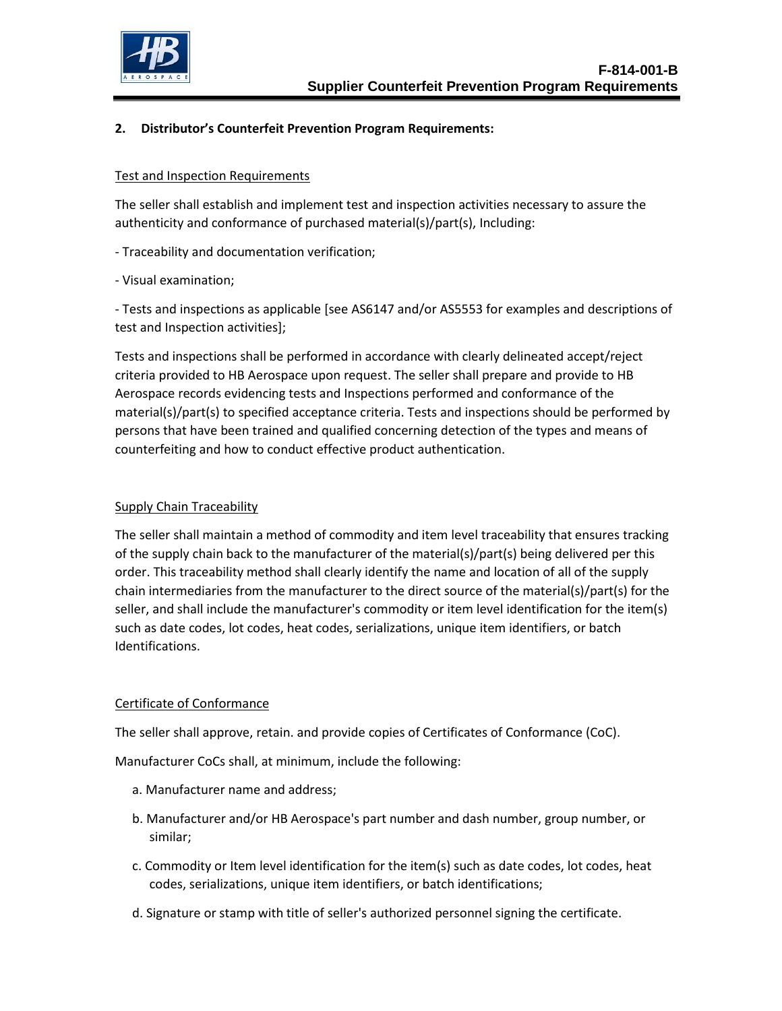

## **2. Distributor's Counterfeit Prevention Program Requirements:**

#### Test and Inspection Requirements

The seller shall establish and implement test and inspection activities necessary to assure the authenticity and conformance of purchased material(s)/part(s), Including:

- Traceability and documentation verification;
- Visual examination;

- Tests and inspections as applicable [see AS6147 and/or AS5553 for examples and descriptions of test and Inspection activities];

Tests and inspections shall be performed in accordance with clearly delineated accept/reject criteria provided to HB Aerospace upon request. The seller shall prepare and provide to HB Aerospace records evidencing tests and Inspections performed and conformance of the material(s)/part(s) to specified acceptance criteria. Tests and inspections should be performed by persons that have been trained and qualified concerning detection of the types and means of counterfeiting and how to conduct effective product authentication.

### Supply Chain Traceability

The seller shall maintain a method of commodity and item level traceability that ensures tracking of the supply chain back to the manufacturer of the material(s)/part(s) being delivered per this order. This traceability method shall clearly identify the name and location of all of the supply chain intermediaries from the manufacturer to the direct source of the material(s)/part(s) for the seller, and shall include the manufacturer's commodity or item level identification for the item(s) such as date codes, lot codes, heat codes, serializations, unique item identifiers, or batch Identifications.

### Certificate of Conformance

The seller shall approve, retain. and provide copies of Certificates of Conformance (CoC).

Manufacturer CoCs shall, at minimum, include the following:

- a. Manufacturer name and address;
- b. Manufacturer and/or HB Aerospace's part number and dash number, group number, or similar;
- c. Commodity or Item level identification for the item(s) such as date codes, lot codes, heat codes, serializations, unique item identifiers, or batch identifications;
- d. Signature or stamp with title of seller's authorized personnel signing the certificate.